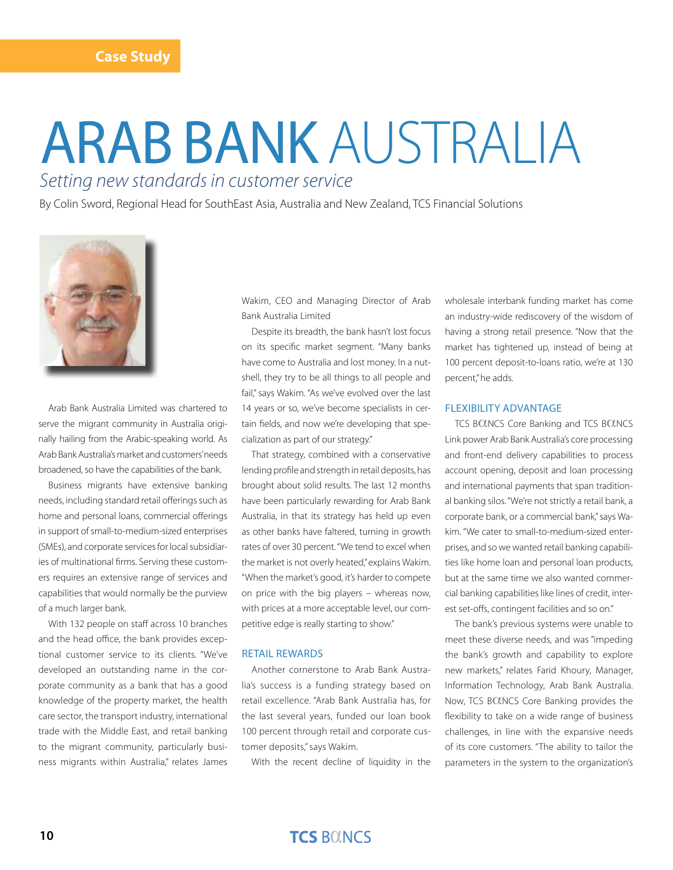# arab bank australia *Setting new standards in customer service*

By Colin Sword, Regional Head for SouthEast Asia, Australia and New Zealand, TCS Financial Solutions



Arab Bank Australia Limited was chartered to serve the migrant community in Australia originally hailing from the Arabic-speaking world. As Arab Bank Australia's market and customers' needs broadened, so have the capabilities of the bank.

Business migrants have extensive banking needs, including standard retail offerings such as home and personal loans, commercial offerings in support of small-to-medium-sized enterprises (SMEs), and corporate services for local subsidiaries of multinational firms. Serving these customers requires an extensive range of services and capabilities that would normally be the purview of a much larger bank.

With 132 people on staff across 10 branches and the head office, the bank provides exceptional customer service to its clients. "We've developed an outstanding name in the corporate community as a bank that has a good knowledge of the property market, the health care sector, the transport industry, international trade with the Middle East, and retail banking to the migrant community, particularly business migrants within Australia," relates James Wakim, CEO and Managing Director of Arab Bank Australia Limited

Despite its breadth, the bank hasn't lost focus on its specific market segment. "Many banks have come to Australia and lost money. In a nutshell, they try to be all things to all people and fail," says Wakim. "As we've evolved over the last 14 years or so, we've become specialists in certain fields, and now we're developing that specialization as part of our strategy."

That strategy, combined with a conservative lending profile and strength in retail deposits, has brought about solid results. The last 12 months have been particularly rewarding for Arab Bank Australia, in that its strategy has held up even as other banks have faltered, turning in growth rates of over 30 percent. "We tend to excel when the market is not overly heated," explains Wakim. "When the market's good, it's harder to compete on price with the big players – whereas now, with prices at a more acceptable level, our competitive edge is really starting to show."

#### Retail rewards

Another cornerstone to Arab Bank Australia's success is a funding strategy based on retail excellence. "Arab Bank Australia has, for the last several years, funded our loan book 100 percent through retail and corporate customer deposits," says Wakim.

With the recent decline of liquidity in the

wholesale interbank funding market has come an industry-wide rediscovery of the wisdom of having a strong retail presence. "Now that the market has tightened up, instead of being at 100 percent deposit-to-loans ratio, we're at 130 percent," he adds.

### Flexibility Advantage

TCS BOLNCS Core Banking and TCS BOLNCS Link power Arab Bank Australia's core processing and front-end delivery capabilities to process account opening, deposit and loan processing and international payments that span traditional banking silos. "We're not strictly a retail bank, a corporate bank, or a commercial bank," says Wakim. "We cater to small-to-medium-sized enterprises, and so we wanted retail banking capabilities like home loan and personal loan products, but at the same time we also wanted commercial banking capabilities like lines of credit, interest set-offs, contingent facilities and so on."

The bank's previous systems were unable to meet these diverse needs, and was "impeding the bank's growth and capability to explore new markets," relates Farid Khoury, Manager, Information Technology, Arab Bank Australia. Now, TCS BOLNCS Core Banking provides the flexibility to take on a wide range of business challenges, in line with the expansive needs of its core customers. "The ability to tailor the parameters in the system to the organization's

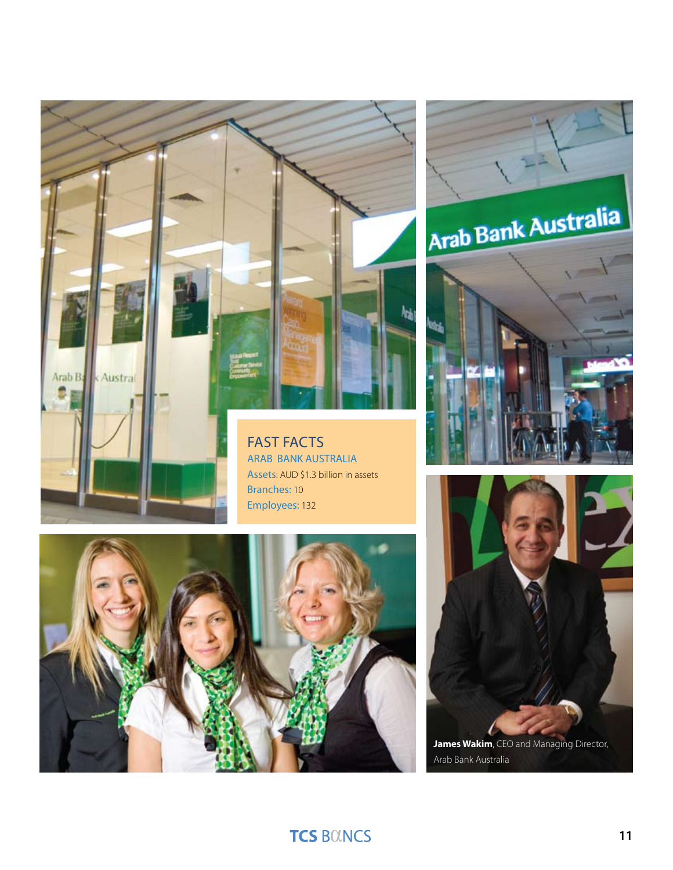

ARAB BANK AUSTRALIA Assets: AUD \$1.3 billion in assets Branches: 10 Employees: 132









Arab Bank Australia

# **TCS BOINCS**